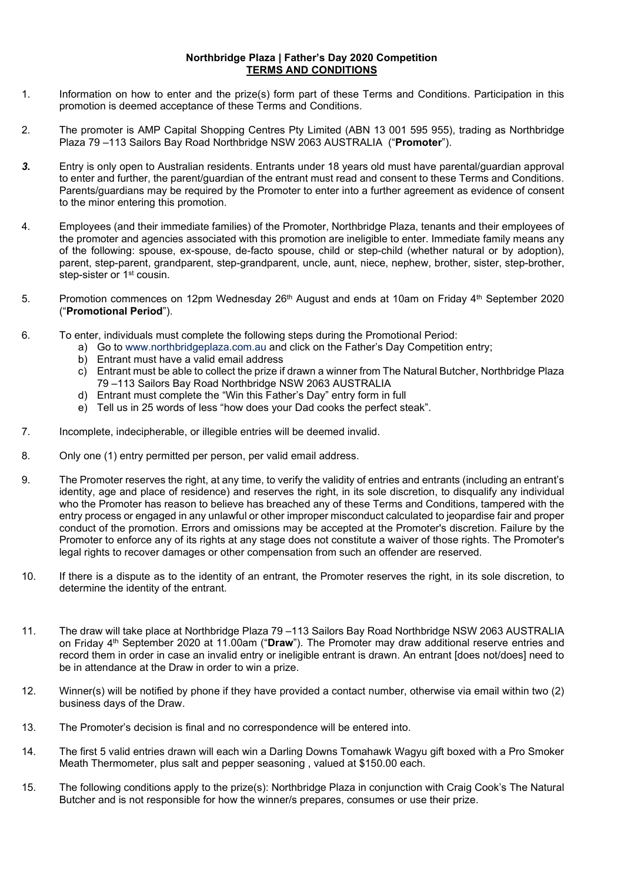## **Northbridge Plaza | Father's Day 2020 Competition TERMS AND CONDITIONS**

- 1. Information on how to enter and the prize(s) form part of these Terms and Conditions. Participation in this promotion is deemed acceptance of these Terms and Conditions.
- 2. The promoter is AMP Capital Shopping Centres Pty Limited (ABN 13 001 595 955), trading as Northbridge Plaza 79 –113 Sailors Bay Road Northbridge NSW 2063 AUSTRALIA ("**Promoter**").
- *3.* Entry is only open to Australian residents. Entrants under 18 years old must have parental/guardian approval to enter and further, the parent/guardian of the entrant must read and consent to these Terms and Conditions. Parents/guardians may be required by the Promoter to enter into a further agreement as evidence of consent to the minor entering this promotion.
- 4. Employees (and their immediate families) of the Promoter, Northbridge Plaza, tenants and their employees of the promoter and agencies associated with this promotion are ineligible to enter. Immediate family means any of the following: spouse, ex-spouse, de-facto spouse, child or step-child (whether natural or by adoption), parent, step-parent, grandparent, step-grandparent, uncle, aunt, niece, nephew, brother, sister, step-brother, step-sister or 1<sup>st</sup> cousin.
- 5. Promotion commences on 12pm Wednesday 26<sup>th</sup> August and ends at 10am on Friday 4<sup>th</sup> September 2020 ("**Promotional Period**").
- 6. To enter, individuals must complete the following steps during the Promotional Period:
	- a) Go to [www.northbridgeplaza.com.au](http://www.northbridgeplaza.com.au/) and click on the Father's Day Competition entry;
	- b) Entrant must have a valid email address
	- c) Entrant must be able to collect the prize if drawn a winner from The Natural Butcher, Northbridge Plaza 79 –113 Sailors Bay Road Northbridge NSW 2063 AUSTRALIA
	- d) Entrant must complete the "Win this Father's Day" entry form in full
	- e) Tell us in 25 words of less "how does your Dad cooks the perfect steak".
- 7. Incomplete, indecipherable, or illegible entries will be deemed invalid.
- 8. Only one (1) entry permitted per person, per valid email address.
- 9. The Promoter reserves the right, at any time, to verify the validity of entries and entrants (including an entrant's identity, age and place of residence) and reserves the right, in its sole discretion, to disqualify any individual who the Promoter has reason to believe has breached any of these Terms and Conditions, tampered with the entry process or engaged in any unlawful or other improper misconduct calculated to jeopardise fair and proper conduct of the promotion. Errors and omissions may be accepted at the Promoter's discretion. Failure by the Promoter to enforce any of its rights at any stage does not constitute a waiver of those rights. The Promoter's legal rights to recover damages or other compensation from such an offender are reserved.
- 10. If there is a dispute as to the identity of an entrant, the Promoter reserves the right, in its sole discretion, to determine the identity of the entrant.
- 11. The draw will take place at Northbridge Plaza 79 –113 Sailors Bay Road Northbridge NSW 2063 AUSTRALIA on Friday 4th September 2020 at 11.00am ("**Draw**"). The Promoter may draw additional reserve entries and record them in order in case an invalid entry or ineligible entrant is drawn. An entrant [does not/does] need to be in attendance at the Draw in order to win a prize.
- 12. Winner(s) will be notified by phone if they have provided a contact number, otherwise via email within two (2) business days of the Draw.
- 13. The Promoter's decision is final and no correspondence will be entered into.
- 14. The first 5 valid entries drawn will each win a Darling Downs Tomahawk Wagyu gift boxed with a Pro Smoker Meath Thermometer, plus salt and pepper seasoning , valued at \$150.00 each.
- 15. The following conditions apply to the prize(s): Northbridge Plaza in conjunction with Craig Cook's The Natural Butcher and is not responsible for how the winner/s prepares, consumes or use their prize.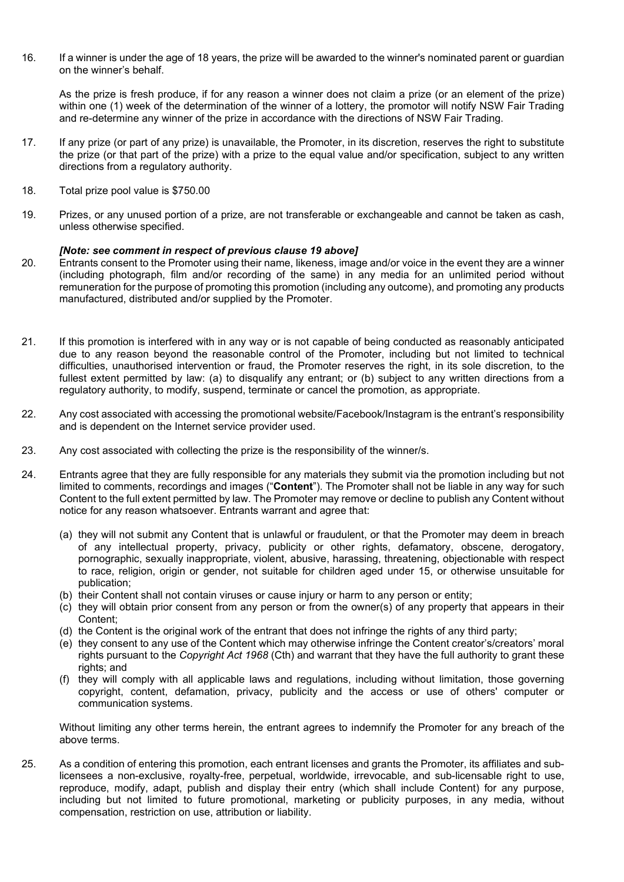16. If a winner is under the age of 18 years, the prize will be awarded to the winner's nominated parent or guardian on the winner's behalf.

As the prize is fresh produce, if for any reason a winner does not claim a prize (or an element of the prize) within one (1) week of the determination of the winner of a lottery, the promotor will notify NSW Fair Trading and re-determine any winner of the prize in accordance with the directions of NSW Fair Trading.

- 17. If any prize (or part of any prize) is unavailable, the Promoter, in its discretion, reserves the right to substitute the prize (or that part of the prize) with a prize to the equal value and/or specification, subject to any written directions from a regulatory authority.
- 18. Total prize pool value is \$750.00
- 19. Prizes, or any unused portion of a prize, are not transferable or exchangeable and cannot be taken as cash, unless otherwise specified.

## *[Note: see comment in respect of previous clause 19 above]*

- 20. Entrants consent to the Promoter using their name, likeness, image and/or voice in the event they are a winner (including photograph, film and/or recording of the same) in any media for an unlimited period without remuneration for the purpose of promoting this promotion (including any outcome), and promoting any products manufactured, distributed and/or supplied by the Promoter.
- 21. If this promotion is interfered with in any way or is not capable of being conducted as reasonably anticipated due to any reason beyond the reasonable control of the Promoter, including but not limited to technical difficulties, unauthorised intervention or fraud, the Promoter reserves the right, in its sole discretion, to the fullest extent permitted by law: (a) to disqualify any entrant; or (b) subject to any written directions from a regulatory authority, to modify, suspend, terminate or cancel the promotion, as appropriate.
- 22. Any cost associated with accessing the promotional website/Facebook/Instagram is the entrant's responsibility and is dependent on the Internet service provider used.
- 23. Any cost associated with collecting the prize is the responsibility of the winner/s.
- 24. Entrants agree that they are fully responsible for any materials they submit via the promotion including but not limited to comments, recordings and images ("**Content**"). The Promoter shall not be liable in any way for such Content to the full extent permitted by law. The Promoter may remove or decline to publish any Content without notice for any reason whatsoever. Entrants warrant and agree that:
	- (a) they will not submit any Content that is unlawful or fraudulent, or that the Promoter may deem in breach of any intellectual property, privacy, publicity or other rights, defamatory, obscene, derogatory, pornographic, sexually inappropriate, violent, abusive, harassing, threatening, objectionable with respect to race, religion, origin or gender, not suitable for children aged under 15, or otherwise unsuitable for publication;
	- (b) their Content shall not contain viruses or cause injury or harm to any person or entity;
	- (c) they will obtain prior consent from any person or from the owner(s) of any property that appears in their Content;
	- (d) the Content is the original work of the entrant that does not infringe the rights of any third party;
	- (e) they consent to any use of the Content which may otherwise infringe the Content creator's/creators' moral rights pursuant to the *Copyright Act 1968* (Cth) and warrant that they have the full authority to grant these rights; and
	- (f) they will comply with all applicable laws and regulations, including without limitation, those governing copyright, content, defamation, privacy, publicity and the access or use of others' computer or communication systems.

Without limiting any other terms herein, the entrant agrees to indemnify the Promoter for any breach of the above terms.

25. As a condition of entering this promotion, each entrant licenses and grants the Promoter, its affiliates and sublicensees a non-exclusive, royalty-free, perpetual, worldwide, irrevocable, and sub-licensable right to use, reproduce, modify, adapt, publish and display their entry (which shall include Content) for any purpose, including but not limited to future promotional, marketing or publicity purposes, in any media, without compensation, restriction on use, attribution or liability.